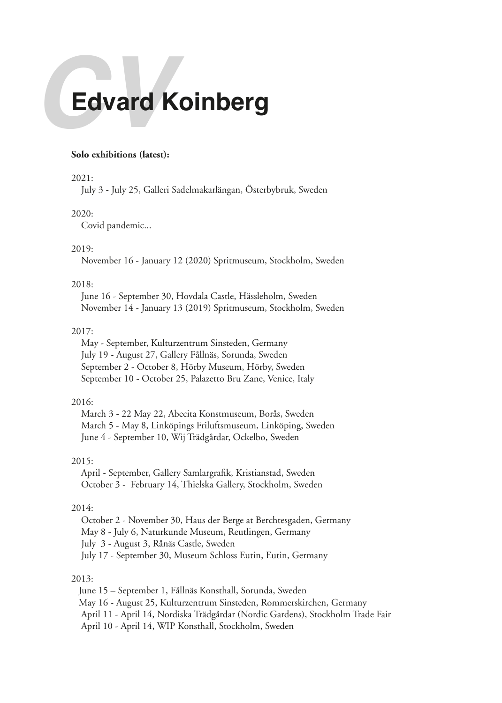# **Edvard Koinberg**

## **Solo exhibitions (latest):**

## 2021:

July 3 - July 25, Galleri Sadelmakarlängan, Österbybruk, Sweden

## 2020:

Covid pandemic...

## 2019:

November 16 - January 12 (2020) Spritmuseum, Stockholm, Sweden

# 2018:

 June 16 - September 30, Hovdala Castle, Hässleholm, Sweden November 14 - January 13 (2019) Spritmuseum, Stockholm, Sweden

### 2017:

 May - September, Kulturzentrum Sinsteden, Germany July 19 - August 27, Gallery Fållnäs, Sorunda, Sweden September 2 - October 8, Hörby Museum, Hörby, Sweden September 10 - October 25, Palazetto Bru Zane, Venice, Italy

# 2016:

 March 3 - 22 May 22, Abecita Konstmuseum, Borås, Sweden March 5 - May 8, Linköpings Friluftsmuseum, Linköping, Sweden June 4 - September 10, Wij Trädgårdar, Ockelbo, Sweden

# 2015:

 April - September, Gallery Samlargrafik, Kristianstad, Sweden October 3 - February 14, Thielska Gallery, Stockholm, Sweden

### 2014:

 October 2 - November 30, Haus der Berge at Berchtesgaden, Germany May 8 - July 6, Naturkunde Museum, Reutlingen, Germany July 3 - August 3, Rånäs Castle, Sweden July 17 - September 30, Museum Schloss Eutin, Eutin, Germany

## 2013:

 June 15 – September 1, Fållnäs Konsthall, Sorunda, Sweden May 16 - August 25, Kulturzentrum Sinsteden, Rommerskirchen, Germany April 11 - April 14, Nordiska Trädgårdar (Nordic Gardens), Stockholm Trade Fair April 10 - April 14, WIP Konsthall, Stockholm, Sweden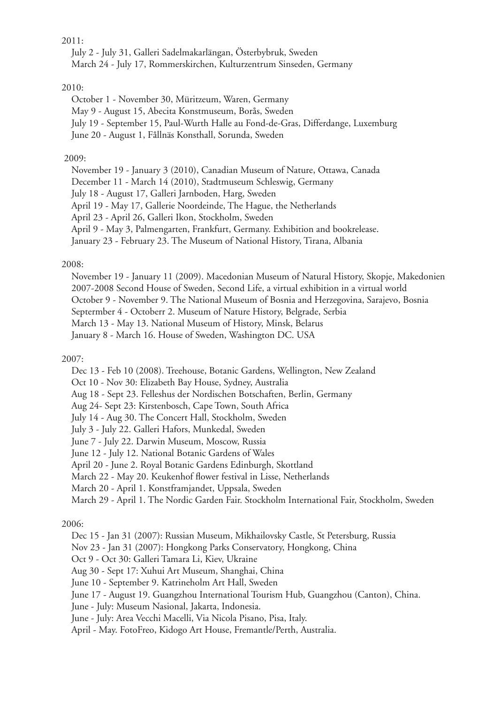# 2011:

 July 2 - July 31, Galleri Sadelmakarlängan, Österbybruk, Sweden March 24 - July 17, Rommerskirchen, Kulturzentrum Sinseden, Germany

# 2010:

 October 1 - November 30, Müritzeum, Waren, Germany May 9 - August 15, Abecita Konstmuseum, Borås, Sweden July 19 - September 15, Paul-Wurth Halle au Fond-de-Gras, Differdange, Luxemburg June 20 - August 1, Fållnäs Konsthall, Sorunda, Sweden

# 2009:

 November 19 - January 3 (2010), Canadian Museum of Nature, Ottawa, Canada December 11 - March 14 (2010), Stadtmuseum Schleswig, Germany July 18 - August 17, Galleri Jarnboden, Harg, Sweden April 19 - May 17, Gallerie Noordeinde, The Hague, the Netherlands April 23 - April 26, Galleri Ikon, Stockholm, Sweden April 9 - May 3, Palmengarten, Frankfurt, Germany. Exhibition and bookrelease. January 23 - February 23. The Museum of National History, Tirana, Albania

## 2008:

 November 19 - January 11 (2009). Macedonian Museum of Natural History, Skopje, Makedonien 2007-2008 Second House of Sweden, Second Life, a virtual exhibition in a virtual world October 9 - November 9. The National Museum of Bosnia and Herzegovina, Sarajevo, Bosnia Septermber 4 - Octoberr 2. Museum of Nature History, Belgrade, Serbia March 13 - May 13. National Museum of History, Minsk, Belarus January 8 - March 16. House of Sweden, Washington DC. USA

## 2007:

Dec 13 - Feb 10 (2008). Treehouse, Botanic Gardens, Wellington, New Zealand

Oct 10 - Nov 30: Elizabeth Bay House, Sydney, Australia

Aug 18 - Sept 23. Felleshus der Nordischen Botschaften, Berlin, Germany

Aug 24- Sept 23: Kirstenbosch, Cape Town, South Africa

July 14 - Aug 30. The Concert Hall, Stockholm, Sweden

July 3 - July 22. Galleri Hafors, Munkedal, Sweden

June 7 - July 22. Darwin Museum, Moscow, Russia

June 12 - July 12. National Botanic Gardens of Wales

April 20 - June 2. Royal Botanic Gardens Edinburgh, Skottland

March 22 - May 20. Keukenhof flower festival in Lisse, Netherlands

March 20 - April 1. Konstframjandet, Uppsala, Sweden

March 29 - April 1. The Nordic Garden Fair. Stockholm International Fair, Stockholm, Sweden

2006:

Dec 15 - Jan 31 (2007): Russian Museum, Mikhailovsky Castle, St Petersburg, Russia

Nov 23 - Jan 31 (2007): Hongkong Parks Conservatory, Hongkong, China

Oct 9 - Oct 30: Galleri Tamara Li, Kiev, Ukraine

Aug 30 - Sept 17: Xuhui Art Museum, Shanghai, China

June 10 - September 9. Katrineholm Art Hall, Sweden

June 17 - August 19. Guangzhou International Tourism Hub, Guangzhou (Canton), China.

June - July: Museum Nasional, Jakarta, Indonesia.

June - July: Area Vecchi Macelli, Via Nicola Pisano, Pisa, Italy.

April - May. FotoFreo, Kidogo Art House, Fremantle/Perth, Australia.